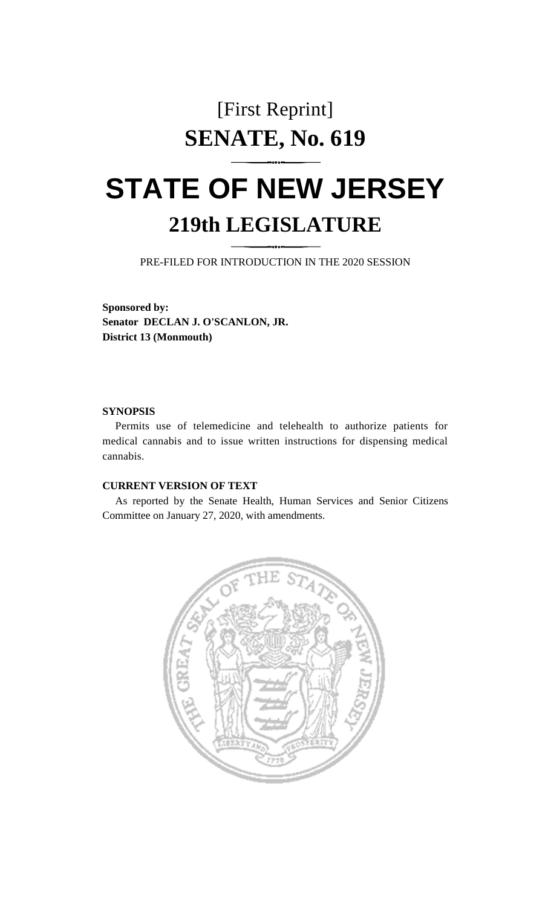## [First Reprint] **SENATE, No. 619**

## **STATE OF NEW JERSEY 219th LEGISLATURE**

PRE-FILED FOR INTRODUCTION IN THE 2020 SESSION

**Sponsored by: Senator DECLAN J. O'SCANLON, JR. District 13 (Monmouth)**

## **SYNOPSIS**

Permits use of telemedicine and telehealth to authorize patients for medical cannabis and to issue written instructions for dispensing medical cannabis.

## **CURRENT VERSION OF TEXT**

As reported by the Senate Health, Human Services and Senior Citizens Committee on January 27, 2020, with amendments.

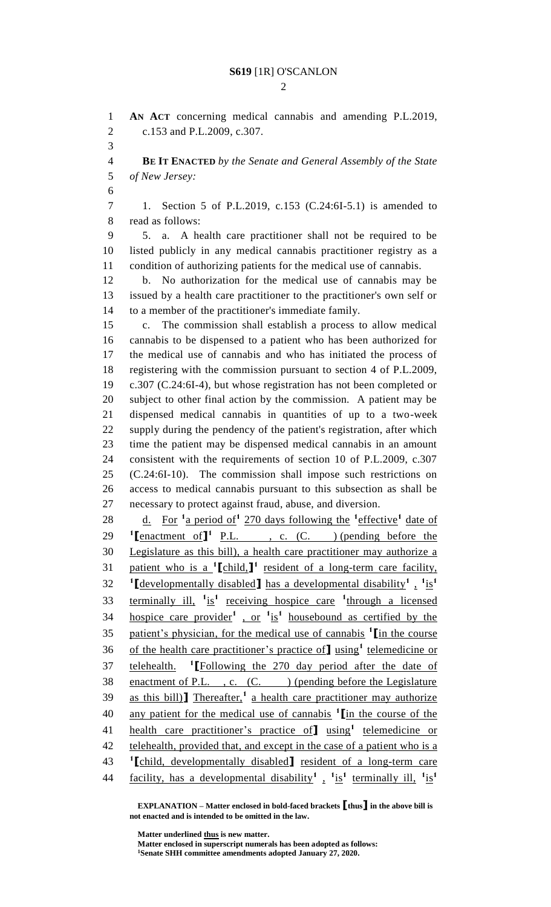**AN ACT** concerning medical cannabis and amending P.L.2019, c.153 and P.L.2009, c.307. **BE IT ENACTED** *by the Senate and General Assembly of the State of New Jersey:* 1. Section 5 of P.L.2019, c.153 (C.24:6I-5.1) is amended to read as follows: 5. a. A health care practitioner shall not be required to be listed publicly in any medical cannabis practitioner registry as a condition of authorizing patients for the medical use of cannabis. b. No authorization for the medical use of cannabis may be issued by a health care practitioner to the practitioner's own self or to a member of the practitioner's immediate family. c. The commission shall establish a process to allow medical cannabis to be dispensed to a patient who has been authorized for the medical use of cannabis and who has initiated the process of registering with the commission pursuant to section 4 of P.L.2009, c.307 (C.24:6I-4), but whose registration has not been completed or subject to other final action by the commission. A patient may be dispensed medical cannabis in quantities of up to a two-week supply during the pendency of the patient's registration, after which time the patient may be dispensed medical cannabis in an amount consistent with the requirements of section 10 of P.L.2009, c.307 (C.24:6I-10). The commission shall impose such restrictions on access to medical cannabis pursuant to this subsection as shall be necessary to protect against fraud, abuse, and diversion. 28 d. For <sup>1</sup> a period of <sup>1</sup> 270 days following the <sup>1</sup> effective <sup>1</sup> date of **I [**enactment of **]**<sup>1</sup> <u>P.L.</u>, c. (C. ) (pending before the Legislature as this bill), a health care practitioner may authorize a 31 patient who is a <sup>1</sup>[child,]<sup>1</sup> resident of a long-term care facility, **[**developmentally disabled**]** has a developmental disability**<sup>1</sup>** , **1** is**1** 33 terminally ill, <sup>1</sup> is<sup>1</sup> receiving hospice care <sup>1</sup> through a licensed hospice care provider**<sup>1</sup>** , or **<sup>1</sup>** is**1** housebound as certified by the patient's physician, for the medical use of cannabis **<sup>1</sup> [**in the course 36 of the health care practitioner's practice of using<sup>1</sup> telemedicine or **telehealth.** <sup>1</sup>[Following the 270 day period after the date of 38 enactment of P.L., c. (C.) (pending before the Legislature 39 as this bill)<sup>T</sup> Thereafter,<sup>1</sup> a health care practitioner may authorize any patient for the medical use of cannabis **<sup>1</sup> [**in the course of the health care practitioner's practice of**]** using**<sup>1</sup>** telemedicine or 42 telehealth, provided that, and except in the case of a patient who is a **[**child, developmentally disabled**]** resident of a long-term care facility, has a developmental disability<sup>1</sup>,  $\frac{1}{1}$  is<sup>1</sup> terminally ill,  $\frac{1}{1}$  is<sup>1</sup> 

**EXPLANATION – Matter enclosed in bold-faced brackets [thus] in the above bill is not enacted and is intended to be omitted in the law.**

**Matter underlined thus is new matter.**

**Matter enclosed in superscript numerals has been adopted as follows: Senate SHH committee amendments adopted January 27, 2020.**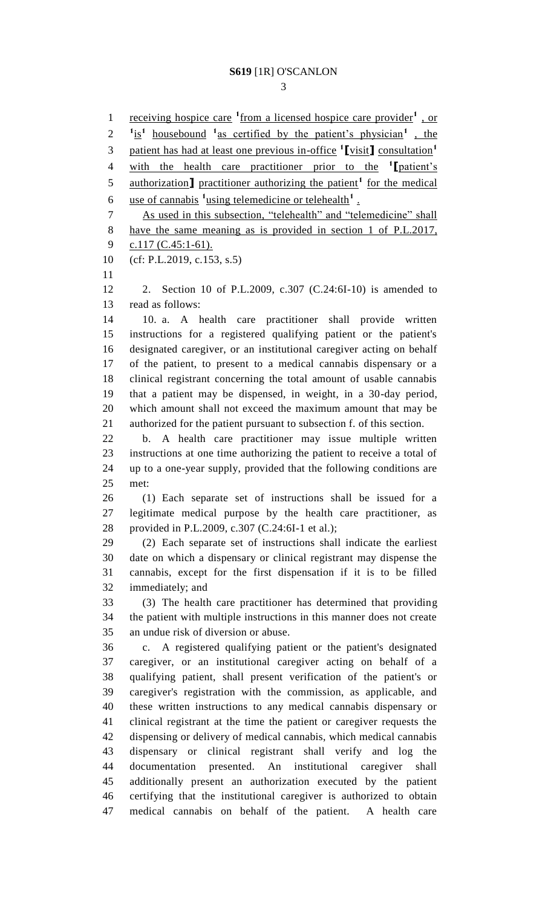1 receiving hospice care <sup>1</sup> from a licensed hospice care provider<sup>1</sup>, or  $1 \text{ is}^1$  housebound <sup>1</sup> as certified by the patient's physician<sup>1</sup>, the patient has had at least one previous in-office **<sup>1</sup> [**visit**]** consultation**<sup>1</sup>** with the health care practitioner prior to the **<sup>1</sup> [**patient's 5 authorization **]** practitioner authorizing the patient<sup>1</sup> for the medical 6 use of cannabis <sup>1</sup> using telemedicine or telehealth<sup>1</sup>. As used in this subsection, "telehealth" and "telemedicine" shall have the same meaning as is provided in section 1 of P.L.2017, 9 c.117 (C.45:1-61). (cf: P.L.2019, c.153, s.5) 2. Section 10 of P.L.2009, c.307 (C.24:6I-10) is amended to read as follows: 10. a. A health care practitioner shall provide written instructions for a registered qualifying patient or the patient's designated caregiver, or an institutional caregiver acting on behalf of the patient, to present to a medical cannabis dispensary or a clinical registrant concerning the total amount of usable cannabis that a patient may be dispensed, in weight, in a 30-day period, which amount shall not exceed the maximum amount that may be authorized for the patient pursuant to subsection f. of this section. b. A health care practitioner may issue multiple written instructions at one time authorizing the patient to receive a total of up to a one-year supply, provided that the following conditions are met: (1) Each separate set of instructions shall be issued for a legitimate medical purpose by the health care practitioner, as provided in P.L.2009, c.307 (C.24:6I-1 et al.); (2) Each separate set of instructions shall indicate the earliest date on which a dispensary or clinical registrant may dispense the cannabis, except for the first dispensation if it is to be filled immediately; and (3) The health care practitioner has determined that providing the patient with multiple instructions in this manner does not create an undue risk of diversion or abuse. c. A registered qualifying patient or the patient's designated caregiver, or an institutional caregiver acting on behalf of a qualifying patient, shall present verification of the patient's or caregiver's registration with the commission, as applicable, and these written instructions to any medical cannabis dispensary or clinical registrant at the time the patient or caregiver requests the dispensing or delivery of medical cannabis, which medical cannabis dispensary or clinical registrant shall verify and log the documentation presented. An institutional caregiver shall additionally present an authorization executed by the patient certifying that the institutional caregiver is authorized to obtain

medical cannabis on behalf of the patient. A health care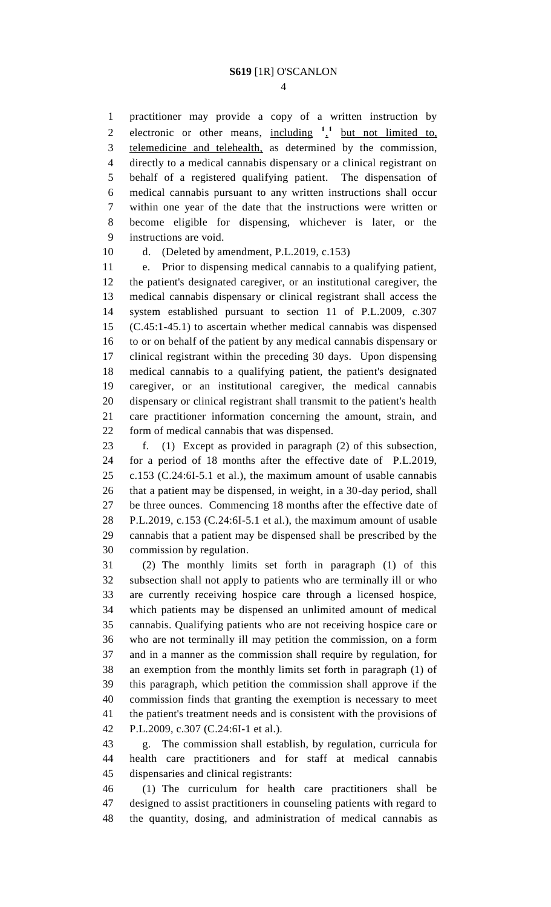practitioner may provide a copy of a written instruction by 2 electronic or other means,  $\frac{\text{including}}{2}$   $\frac{1}{2}$  but not limited to, telemedicine and telehealth, as determined by the commission, directly to a medical cannabis dispensary or a clinical registrant on behalf of a registered qualifying patient. The dispensation of medical cannabis pursuant to any written instructions shall occur within one year of the date that the instructions were written or become eligible for dispensing, whichever is later, or the instructions are void.

d. (Deleted by amendment, P.L.2019, c.153)

 e. Prior to dispensing medical cannabis to a qualifying patient, the patient's designated caregiver, or an institutional caregiver, the medical cannabis dispensary or clinical registrant shall access the system established pursuant to section 11 of P.L.2009, c.307 (C.45:1-45.1) to ascertain whether medical cannabis was dispensed to or on behalf of the patient by any medical cannabis dispensary or clinical registrant within the preceding 30 days. Upon dispensing medical cannabis to a qualifying patient, the patient's designated caregiver, or an institutional caregiver, the medical cannabis dispensary or clinical registrant shall transmit to the patient's health care practitioner information concerning the amount, strain, and form of medical cannabis that was dispensed.

 f. (1) Except as provided in paragraph (2) of this subsection, for a period of 18 months after the effective date of P.L.2019, c.153 (C.24:6I-5.1 et al.), the maximum amount of usable cannabis that a patient may be dispensed, in weight, in a 30-day period, shall be three ounces. Commencing 18 months after the effective date of P.L.2019, c.153 (C.24:6I-5.1 et al.), the maximum amount of usable cannabis that a patient may be dispensed shall be prescribed by the commission by regulation.

 (2) The monthly limits set forth in paragraph (1) of this subsection shall not apply to patients who are terminally ill or who are currently receiving hospice care through a licensed hospice, which patients may be dispensed an unlimited amount of medical cannabis. Qualifying patients who are not receiving hospice care or who are not terminally ill may petition the commission, on a form and in a manner as the commission shall require by regulation, for an exemption from the monthly limits set forth in paragraph (1) of this paragraph, which petition the commission shall approve if the commission finds that granting the exemption is necessary to meet the patient's treatment needs and is consistent with the provisions of P.L.2009, c.307 (C.24:6I-1 et al.).

 g. The commission shall establish, by regulation, curricula for health care practitioners and for staff at medical cannabis dispensaries and clinical registrants:

 (1) The curriculum for health care practitioners shall be designed to assist practitioners in counseling patients with regard to the quantity, dosing, and administration of medical cannabis as